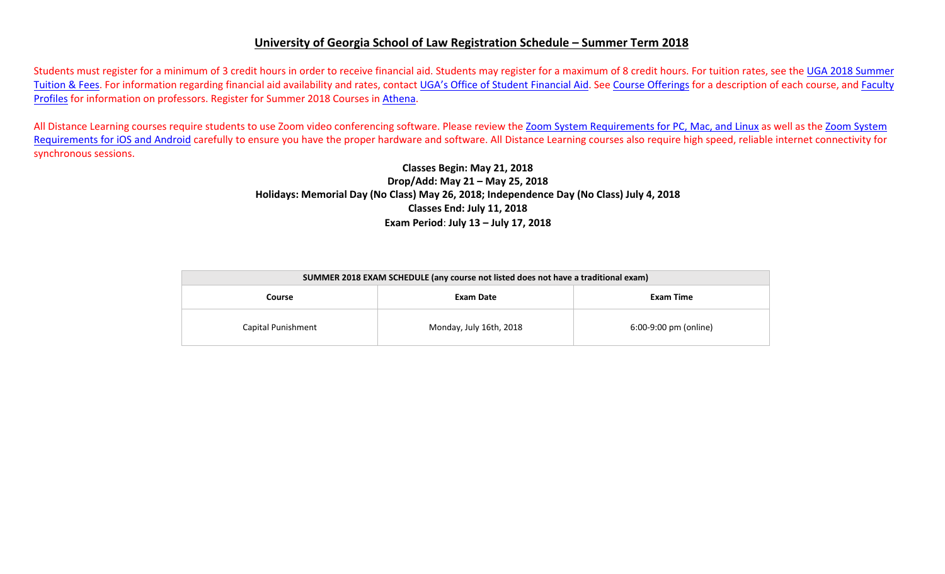## **University of Georgia School of Law Registration Schedule – Summer Term 2018**

Students must register for a minimum of 3 credit hours in order to receive financial aid. Students may register for a maximum of 8 credit hours. For tuition rates, see the <u>UGA 2018 Summer</u> Tuition & Fees. For information regarding financial aid availability and rates, contact <u>UGA's Office of Student Financial Aid</u>. See Course Offerings for a description of each course, and <u>Faculty</u> <u>Profiles</u> for information on professors. Register for Summer 2018 Courses in <u>Athena</u>.

All Distance Learning courses require students to use Zoom video conferencing software. Please review the Zoom System Requirements for PC, Mac, and Linux as well as the Zoom System Requirements for iOS and Android carefully to ensure you have the proper hardware and software. All Distance Learning courses also require high speed, reliable internet connectivity for synchronous sessions.

## **Classes Begin: May 21, 2018 Drop/Add: May 21 – May 25, 2018 Holidays: Memorial Day (No Class) May 26, 2018; Independence Day (No Class) July 4, 2018 Classes End: July 11, 2018 Exam Period**: **July 13 – July 17, 2018**

| SUMMER 2018 EXAM SCHEDULE (any course not listed does not have a traditional exam) |                         |                       |  |  |  |  |  |  |  |
|------------------------------------------------------------------------------------|-------------------------|-----------------------|--|--|--|--|--|--|--|
| Course                                                                             | Exam Date               | Exam Time             |  |  |  |  |  |  |  |
| Capital Punishment                                                                 | Monday, July 16th, 2018 | 6:00-9:00 pm (online) |  |  |  |  |  |  |  |